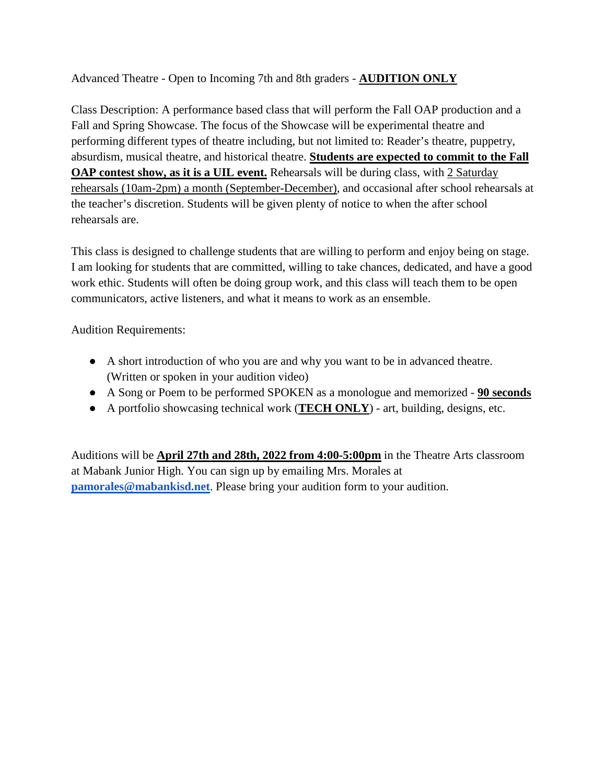#### Advanced Theatre - Open to Incoming 7th and 8th graders - **AUDITION ONLY**

Class Description: A performance based class that will perform the Fall OAP production and a Fall and Spring Showcase. The focus of the Showcase will be experimental theatre and performing different types of theatre including, but not limited to: Reader's theatre, puppetry, absurdism, musical theatre, and historical theatre. **Students are expected to commit to the Fall OAP contest show, as it is a UIL event.** Rehearsals will be during class, with 2 Saturday rehearsals (10am-2pm) a month (September-December), and occasional after school rehearsals at the teacher's discretion. Students will be given plenty of notice to when the after school rehearsals are.

This class is designed to challenge students that are willing to perform and enjoy being on stage. I am looking for students that are committed, willing to take chances, dedicated, and have a good work ethic. Students will often be doing group work, and this class will teach them to be open communicators, active listeners, and what it means to work as an ensemble.

Audition Requirements:

- A short introduction of who you are and why you want to be in advanced theatre. (Written or spoken in your audition video)
- A Song or Poem to be performed SPOKEN as a monologue and memorized **90 seconds**
- A portfolio showcasing technical work (**TECH ONLY**) art, building, designs, etc.

Auditions will be **April 27th and 28th, 2022 from 4:00-5:00pm** in the Theatre Arts classroom at Mabank Junior High. You can sign up by emailing Mrs. Morales at **[pamorales@mabankisd.net](mailto:pamorales@mabankisd.net)**. Please bring your audition form to your audition.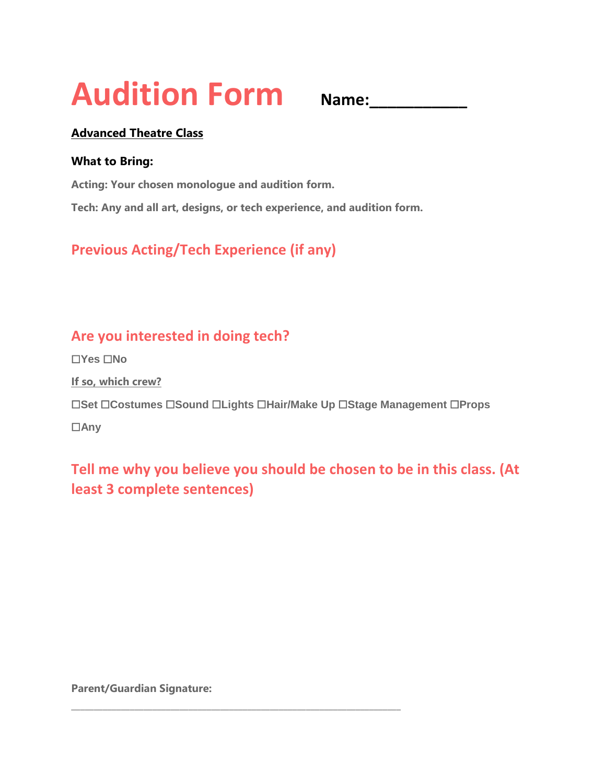# **Audition Form Name:\_\_\_\_\_\_\_\_\_\_\_**

#### **Advanced Theatre Class**

#### **What to Bring:**

**Acting: Your chosen monologue and audition form.**

**Tech: Any and all art, designs, or tech experience, and audition form.**

## **Previous Acting/Tech Experience (if any)**

## **Are you interested in doing tech?**

☐**Yes** ☐**No**

**If so, which crew?**

☐**Set** ☐**Costumes** ☐**Sound** ☐**Lights** ☐**Hair/Make Up** ☐**Stage Management** ☐**Props**

☐**Any**

## **Tell me why you believe you should be chosen to be in this class. (At least 3 complete sentences)**

**Parent/Guardian Signature:** 

**\_\_\_\_\_\_\_\_\_\_\_\_\_\_\_\_\_\_\_\_\_\_\_\_\_\_\_\_\_\_\_\_\_\_\_\_\_\_\_\_\_\_\_\_\_\_\_\_\_\_\_\_\_\_\_\_\_\_\_\_\_\_\_\_\_\_\_\_\_\_\_\_\_**